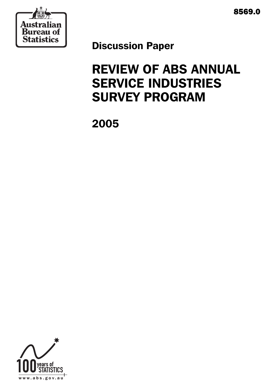



Discussion Paper

# REVIEW OF ABS ANNUAL SERVICE INDUSTRIES SURVEY PROGRAM

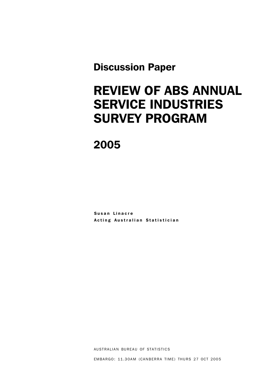Discussion Paper

# REVIEW OF ABS ANNUAL SERVICE INDUSTRIES SURVEY PROGRAM

2005

Susan Linacre Acting Australian Statistician

AUSTRALIAN BUREAU OF STATISTICS

EMBARGO: 11.30AM (CANBERRA TIME) THURS 27 OCT 2005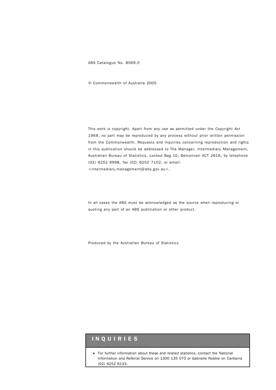ABS Catalogue No. 8569.0

© Commonwealth of Australia 2005

This work is copyright. Apart from any use as permitted under the *Copyright Act 1968*, no part may be reproduced by any process without prior written permission from the Commonwealth. Requests and inquiries concerning reproduction and rights in this publication should be addressed to The Manager, Intermediary Management, Australian Bureau of Statistics, Locked Bag 10, Belconnen ACT 2616, by telephone (02) 6252 6998, fax (02) 6252 7102, or email: <intermediary.management@abs.gov.au>.

In all cases the ABS must be acknowledged as the source when reproducing or quoting any part of an ABS publication or other product.

Produced by the Australian Bureau of Statistics

#### INQUIRIES

! For further information about these and related statistics, contact the National Information and Referral Service on 1300 135 070 or Gabrielle Robbie on Canberra (02) 6252 6133.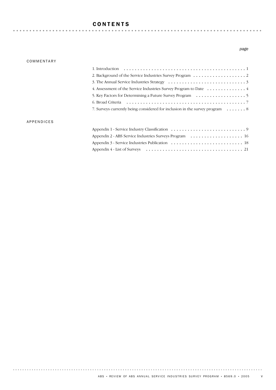### CONTENTS

#### COMMENTARY

#### *page*

| 4. Assessment of the Service Industries Survey Program to Date $\dots \dots \dots \dots$    |  |
|---------------------------------------------------------------------------------------------|--|
|                                                                                             |  |
|                                                                                             |  |
| 7. Surveys currently being considered for inclusion in the survey program $\dots \dots$ . 8 |  |

#### APPENDICES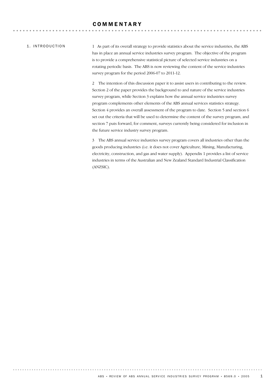#### 1. INTRODUCTION

1 As part of its overall strategy to provide statistics about the service industries, the ABS has in place an annual service industries survey program. The objective of the program is to provide a comprehensive statistical picture of selected service industries on a rotating periodic basis. The ABS is now reviewing the content of the service industries survey program for the period 2006-07 to 2011-12.

2 The intention of this discussion paper it to assist users in contributing to the review. Section 2 of the paper provides the background to and nature of the service industries survey program, while Section 3 explains how the annual service industries survey program complements other elements of the ABS annual services statistics strategy. Section 4 provides an overall assessment of the program to date. Section 5 and section 6 set out the criteria that will be used to determine the content of the survey program, and section 7 puts forward, for comment, surveys currently being considered for inclusion in the future service industry survey program.

3 The ABS annual service industries survey program covers all industries other than the goods producing industries (i.e. it does not cover Agriculture, Mining, Manufacturing, electricity, construction, and gas and water supply). Appendix 1 provides a list of service industries in terms of the Australian and New Zealand Standard Industrial Classification (ANZSIC).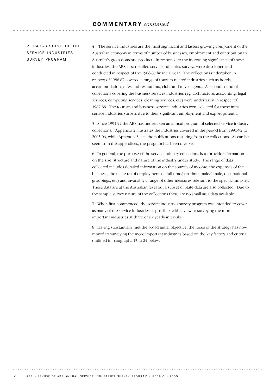#### 2. BACKGROUND OF THE SERVICE INDUSTRIES SURVEY PROGRAM

4 The service industries are the most significant and fastest growing component of the Australian economy in terms of number of businesses, employment and contribution to Australia's gross domestic product. In response to the increasing significance of these industries, the ABS' first detailed service industries surveys were developed and conducted in respect of the 1986-87 financial year. The collections undertaken in respect of 1986-87 covered a range of tourism related industries such as hotels, accommodation, cafes and restaurants, clubs and travel agents. A second round of collections covering the business services industries (eg. architecture, accounting, legal services, computing services, cleaning services, etc) were undertaken in respect of 1987-88. The tourism and business services industries were selected for these initial service industries surveys due to their significant employment and export potential.

5 Since 1991-92 the ABS has undertaken an annual program of selected service industry collections. Appendix 2 illustrates the industries covered in the period from 1991-92 to 2005-06, while Appendix 3 lists the publications resulting from the collections. As can be seen from the appendices, the program has been diverse.

6 In general, the purpose of the service industry collections is to provide information on the size, structure and nature of the industry under study. The range of data collected includes detailed information on the sources of income, the expenses of the business, the make up of employment (ie full time/part time, male/female, occupational groupings, etc) and invariably a range of other measures relevant to the specific industry. These data are at the Australian level but a subset of State data are also collected. Due to the sample survey nature of the collections there are no small area data available.

7 When first commenced, the service industries survey program was intended to cover as many of the service industries as possible, with a view to surveying the more important industries at three or six yearly intervals.

8 Having substantially met the broad initial objective, the focus of the strategy has now moved to surveying the more important industries based on the key factors and criteria outlined in paragraphs 13 to 24 below.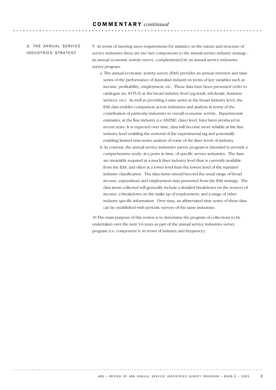#### 3. THE ANNUAL SERVICE INDUSTRIES STRATEGY

9 In terms of meeting users requirements for statistics on the nature and structure of service industries there are two key components to the annual service industry strategy an annual economic activity survey, complemented by an annual service industries survey program.

- a. The annual economic activity survey (EAS) provides an annual overview and time series of the performance of Australian industry in terms of key variables such as income, profitability, employment, etc. These data have been presented (refer to catalogue no. 8155.0) at the broad industry level (eg retail, wholesale, business services, etc). As well as providing a time series at the broad industry level, the EAS data enables comparison across industries and analysis in terms of the contribution of particular industries to overall economic activity. Experimental estimates, at the fine industry (i.e ANZSIC class) level, have been produced in recent years. It is expected over time, data will become more reliable at the fine industry level enabling the removal of the experimental tag and potentially enabling limited time-series analysis of some of the finer levels of industry.
- b. In contrast, the annual service industries survey program is intended to provide a comprehensive study, at a point in time, of specific service industries. The data are invariably required at a much finer industry level than is currently available from the EAS, and often at a lower level than the lowest level of the standard industry classification. The data items extend beyond the usual range of broad income, expenditure and employment data presented from the EAS strategy. The data items collected will generally include a detailed breakdown on the sources of income; a breakdown on the make up of employment; and a range of other industry specific information. Over time, an abbreviated time series of these data can be established with periodic surveys of the same industries.

10 The main purpose of this review is to determine the program of collections to be undertaken over the next 3-6 years as part of the annual service industries survey program (i.e. component b. in terms of industry and frequency).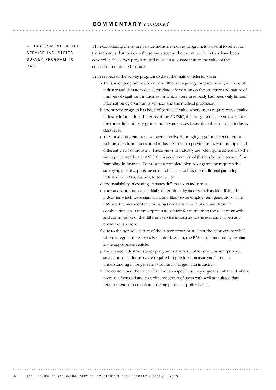#### 4. ASSESSMENT OF THE SERVICE INDUSTRIES SURVEY PROGRAM TO DATE

11 In considering the future service industries survey program, it is useful to reflect on the industries that make up the services sector, the extent to which they have been covered in the survey program, and make an assessment as to the value of the collections conducted to date.

12 In respect of the survey program to date, the main conclusions are:

- a. the survey program has been very effective in giving comprehensive, in terms of industry and data item detail, baseline information on the structure and nature of a number of significant industries for which there previously had been only limited information eg community services and the medical profession.
- b. the survey program has been of particular value where users require very detailed industry information. In terms of the ANZSIC, this has generally been lower than the three digit industry group and in some cases lower than the four digit industry class level.
- c. the survey program has also been effective in bringing together, in a coherent fashion, data from interrelated industries so as to provide users with multiple and different views of industry. These views of industry are often quite different to the views presented by the ANZSIC . A good example of this has been in terms of the 'gambling' industries. To present a complete picture of gambling requires the surveying of clubs, pubs, taverns and bars as well as the traditional gambling industries ie TABs, casinos, lotteries, etc.

d. the availability of existing statistics differs across industries.

- e. the survey program was initially determined by factors such as identifying the industries which were significant and likely to be employment generators. The EAS and the methodology for using tax data is now in place and these, in combination, are a more appropriate vehicle for monitoring the relative growth and contribution of the different service industries to the economy, albeit at a broad industry level.
- f. due to the periodic nature of the survey program, it is not the appropriate vehicle where a regular time series is required. Again, the EAS supplemented by tax data, is the appropriate vehicle.
- g. the service industries survey program is a very suitable vehicle where periodic snapshots of an industry are required to provide a measurement and an understanding of longer term structural change in an industry.
- h. the content and the value of an industry-specific survey is greatly enhanced where there is a focussed and co-ordinated group of users with well articulated data requirements directed at addressing particular policy issues.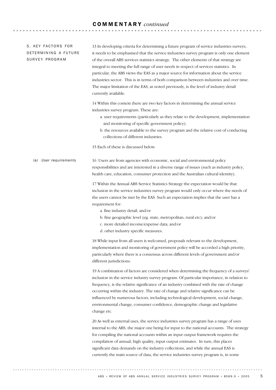# COMMENTARY *continued*

| 5. KEY FACTORS FOR<br>DETERMINING A FUTURE<br>SURVEY PROGRAM | 13 In developing criteria for determining a future program of service industries surveys,<br>it needs to be emphasised that the service industries survey program is only one element<br>of the overall ABS services statistics strategy. The other elements of that strategy are<br>integral to meeting the full range of user needs in respect of services statistics. In<br>particular, the ABS views the EAS as a major source for information about the service<br>industries sector. This is in terms of both comparison between industries and over time.<br>The major limitation of the EAS, as noted previously, is the level of industry detail<br>currently available. |
|--------------------------------------------------------------|-----------------------------------------------------------------------------------------------------------------------------------------------------------------------------------------------------------------------------------------------------------------------------------------------------------------------------------------------------------------------------------------------------------------------------------------------------------------------------------------------------------------------------------------------------------------------------------------------------------------------------------------------------------------------------------|
|                                                              | 14 Within this context there are two key factors in determining the annual service<br>industries survey program. These are:<br>a. user requirements (particularly as they relate to the development, implementation<br>and monitoring of specific government policy).<br>b. the resources available to the survey program and the relative cost of conducting<br>collections of different industries.                                                                                                                                                                                                                                                                             |
|                                                              | 15 Each of these is discussed below.                                                                                                                                                                                                                                                                                                                                                                                                                                                                                                                                                                                                                                              |
| User requirements<br>(a)                                     | 16 Users are from agencies with economic, social and environmental policy<br>responsibilities and are interested in a diverse range of issues (such as industry policy,<br>health care, education, consumer protection and the Australian cultural identity).                                                                                                                                                                                                                                                                                                                                                                                                                     |
|                                                              | 17 Within the Annual ABS Service Statistics Strategy the expectation would be that<br>inclusion in the service industries survey program would only occur where the needs of<br>the users cannot be met by the EAS. Such an expectation implies that the user has a<br>requirement for:<br>a. fine industry detail; and/or                                                                                                                                                                                                                                                                                                                                                        |
|                                                              | b. fine geographic level (eg. state, metropolitan, rural etc); and/or<br>c. more detailed income/expense data; and/or<br>d. other industry specific measures.                                                                                                                                                                                                                                                                                                                                                                                                                                                                                                                     |
|                                                              | 18 While input from all users is welcomed, proposals relevant to the development,<br>implementation and monitoring of government policy will be accorded a high priority,<br>particularly where there is a consensus across different levels of government and/or<br>different jurisdictions.                                                                                                                                                                                                                                                                                                                                                                                     |
|                                                              | 19 A combination of factors are considered when determining the frequency of a surveys'<br>inclusion in the service industry survey program. Of particular importance, in relation to<br>frequency, is the relative significance of an industry combined with the rate of change<br>occurring within the industry. The rate of change and relative significance can be<br>influenced by numerous factors, including technological development, social change,<br>environmental change, consumer confidence, demographic change and legislative<br>change etc.                                                                                                                     |
|                                                              | 20 As well as external uses, the service industries survey program has a range of uses<br>internal to the ABS, the major one being for input to the national accounts. The strategy<br>for compiling the national accounts within an input output framework requires the<br>compilation of annual, high quality, input output estimates. In turn, this places<br>significant data demands on the industry collections, and while the annual EAS is<br>currently the main source of data, the service industries survey program is, in some                                                                                                                                        |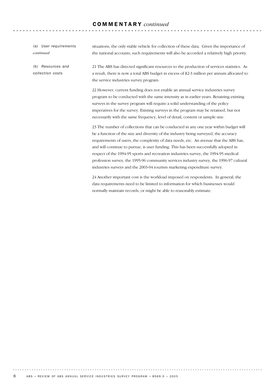# COMMENTARY *continued*

| (a) User requirements<br>continued    | situations, the only viable vehicle for collection of these data. Given the importance of<br>the national accounts, such requirements will also be accorded a relatively high priority.                                                                                                                                                                                                                                                                                                                                                                                                                                     |
|---------------------------------------|-----------------------------------------------------------------------------------------------------------------------------------------------------------------------------------------------------------------------------------------------------------------------------------------------------------------------------------------------------------------------------------------------------------------------------------------------------------------------------------------------------------------------------------------------------------------------------------------------------------------------------|
| (b) Resources and<br>collection costs | 21 The ABS has directed significant resources to the production of services statistics. As<br>a result, there is now a total ABS budget in excess of \$2-3 million per annum allocated to<br>the service industries survey program.                                                                                                                                                                                                                                                                                                                                                                                         |
|                                       | 22 However, current funding does not enable an annual service industries survey<br>program to be conducted with the same intensity as in earlier years. Retaining existing<br>surveys in the survey program will require a solid understanding of the policy<br>imperatives for the survey. Existing surveys in the program may be retained, but not<br>necessarily with the same frequency, level of detail, content or sample size.                                                                                                                                                                                       |
|                                       | 23 The number of collections that can be conducted in any one year within budget will<br>be a function of the size and diversity of the industry being surveyed, the accuracy<br>requirements of users, the complexity of data needs, etc. An avenue that the ABS has,<br>and will continue to pursue, is user funding. This has been successfully adopted in<br>respect of the 1994-95 sports and recreation industries survey, the 1994-95 medical<br>profession survey, the 1995-96 community services industry survey, the 1996-97 cultural<br>industries surveys and the 2003-04 tourism marketing expenditure survey. |
|                                       | 24 Another important cost is the workload imposed on respondents. In general, the<br>data requirements need to be limited to information for which businesses would<br>normally maintain records, or might be able to reasonably estimate.                                                                                                                                                                                                                                                                                                                                                                                  |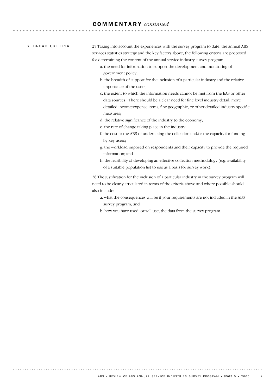#### COMMENTARY *continued*

#### 6. BROAD CRITERIA

25 Taking into account the experiences with the survey program to date, the annual ABS services statistics strategy and the key factors above, the following criteria are proposed for determining the content of the annual service industry survey program:

- a. the need for information to support the development and monitoring of government policy;
- b. the breadth of support for the inclusion of a particular industry and the relative importance of the users;
- c. the extent to which the information needs cannot be met from the EAS or other data sources. There should be a clear need for fine level industry detail, more detailed income/expense items, fine geographic, or other detailed industry specific measures;
- d. the relative significance of the industry to the economy;
- e. the rate of change taking place in the industry;
- f. the cost to the ABS of undertaking the collection and/or the capacity for funding by key users;
- g. the workload imposed on respondents and their capacity to provide the required information; and
- h. the feasibility of developing an effective collection methodology (e.g. availability of a suitable population list to use as a basis for survey work).

26 The justification for the inclusion of a particular industry in the survey program will need to be clearly articulated in terms of the criteria above and where possible should also include:

- a. what the consequences will be if your requirements are not included in the ABS' survey program; and
- b. how you have used, or will use, the data from the survey program.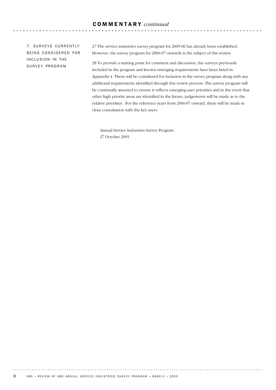. . . . . . . . . . . . . . . . . . .

7. SURVEYS CURRENTLY BEING CONSIDERED FOR INCLUSION IN THE SURVEY PROGRAM

27 The service industries survey program for 2005-06 has already been established. However, the survey program for 2006-07 onwards is the subject of this review.

28 To provide a starting point for comment and discussion, the surveys previously included in the program and known emerging requirements have been listed in Appendix 4. These will be considered for inclusion in the survey program along with any additional requirements identified through this review process. The survey program will be continually assessed to ensure it reflects emerging user priorities and in the event that other high priority areas are identified in the future, judgements will be made as to the relative priorities. For the reference years from 2006-07 onward, these will be made in close consultation with the key users.

Annual Service Industries Survey Program 27 October 2005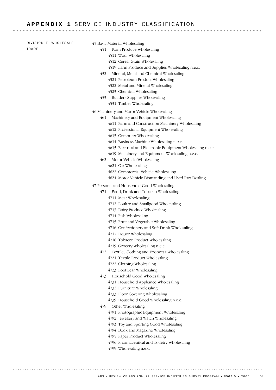### APPENDIX 1 SERVICE INDUSTRY CLASSIFICATION

| DIVISION F WHOLESALE | 45 Basic Material Wholesaling                               |
|----------------------|-------------------------------------------------------------|
| TRADE                | Farm Produce Wholesaling<br>451                             |
|                      | 4511 Wool Wholesaling                                       |
|                      | 4512 Cereal Grain Wholesaling                               |
|                      | 4519 Farm Produce and Supplies Wholesaling n.e.c.           |
|                      | Mineral, Metal and Chemical Wholesaling<br>452              |
|                      | 4521 Petroleum Product Wholesaling                          |
|                      | 4522 Metal and Mineral Wholesaling                          |
|                      | 4523 Chemical Wholesaling                                   |
|                      | Builders Supplies Wholesaling<br>453                        |
|                      | 4531 Timber Wholesaling                                     |
|                      | 46 Machinery and Motor Vehicle Wholesaling                  |
|                      | 461<br>Machinery and Equipment Wholesaling                  |
|                      | 4611 Farm and Construction Machinery Wholesaling            |
|                      | 4612 Professional Equipment Wholesaling                     |
|                      | 4613 Computer Wholesaling                                   |
|                      | 4614 Business Machine Wholesaling n.e.c.                    |
|                      | 4615 Electrical and Electronic Equipment Wholesaling n.e.c. |
|                      | 4619 Machinery and Equipment Wholesaling n.e.c.             |
|                      | 462<br>Motor Vehicle Wholesaling                            |
|                      | 4621 Car Wholesaling                                        |
|                      | 4622 Commercial Vehicle Wholesaling                         |
|                      | 4624 Motor Vehicle Dismantling and Used Part Dealing        |
|                      | 47 Personal and Household Good Wholesaling                  |
|                      | Food, Drink and Tobacco Wholesaling<br>471                  |
|                      | 4711 Meat Wholesaling                                       |
|                      | 4712 Poultry and Smallgood Wholesaling                      |
|                      | 4713 Dairy Produce Wholesaling                              |
|                      | 4714 Fish Wholesaling                                       |
|                      | 4715 Fruit and Vegetable Wholesaling                        |
|                      | 4716 Confectionery and Soft Drink Wholesaling               |
|                      | 4717 Liquor Wholesaling                                     |
|                      | 4718 Tobacco Product Wholesaling                            |
|                      | 4719 Grocery Wholesaling n.e.c.                             |
|                      | Textile, Clothing and Footwear Wholesaling<br>472           |
|                      | 4721 Textile Product Wholesaling                            |
|                      | 4722 Clothing Wholesaling                                   |
|                      | 4723 Footwear Wholesaling                                   |
|                      | Household Good Wholesaling<br>473                           |
|                      | 4731 Household Appliance Wholesaling                        |
|                      | 4732 Furniture Wholesaling                                  |
|                      | 4733 Floor Covering Wholesaling                             |
|                      | 4739 Household Good Wholesaling n.e.c.                      |
|                      | Other Wholesaling<br>479                                    |
|                      | 4791 Photographic Equipment Wholesaling                     |
|                      | 4792 Jewellery and Watch Wholesaling                        |
|                      | 4793 Toy and Sporting Good Wholesaling                      |
|                      | 4794 Book and Magazine Wholesaling                          |
|                      | 4795 Paper Product Wholesaling                              |
|                      | 4796 Pharmaceutical and Toiletry Wholesaling                |

4799 Wholesaling n.e.c.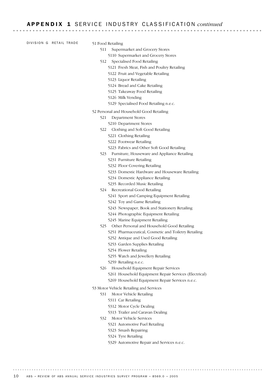DIVISION G RETAIL TRADE

- 51 Food Retailing
	- 511 Supermarket and Grocery Stores
		- 5110 Supermarket and Grocery Stores
	- 512 Specialised Food Retailing
		- 5121 Fresh Meat, Fish and Poultry Retailing
		- 5122 Fruit and Vegetable Retailing
		- 5123 Liquor Retailing
		- 5124 Bread and Cake Retailing
		- 5125 Takeaway Food Retailing
		- 5126 Milk Vending
		- 5129 Specialised Food Retailing n.e.c.
- 52 Personal and Household Good Retailing
	- 521 Department Stores
		- 5210 Department Stores
	- 522 Clothing and Soft Good Retailing
		- 5221 Clothing Retailing
		- 5222 Footwear Retailing
		- 5223 Fabrics and Other Soft Good Retailing
	- 523 Furniture, Houseware and Appliance Retailing
		- 5231 Furniture Retailing
		- 5232 Floor Covering Retailing
		- 5233 Domestic Hardware and Houseware Retailing
		- 5234 Domestic Appliance Retailing
		- 5235 Recorded Music Retailing
	- 524 Recreational Good Retailing
		- 5241 Sport and Camping Equipment Retailing
		- 5242 Toy and Game Retailing
		- 5243 Newspaper, Book and Stationery Retailing
		- 5244 Photographic Equipment Retailing
		- 5245 Marine Equipment Retailing
	- 525 Other Personal and Household Good Retailing
		- 5251 Pharmaceutical, Cosmetic and Toiletry Retailing
		- 5252 Antique and Used Good Retailing
		- 5253 Garden Supplies Retailing
		- 5254 Flower Retailing
		- 5255 Watch and Jewellery Retailing
		- 5259 Retailing n.e.c.
	- 526 Household Equipment Repair Services 5261 Household Equipment Repair Services (Electrical)
		- 5269 Household Equipment Repair Services n.e.c.
- 53 Motor Vehicle Retailing and Services
	- 531 Motor Vehicle Retailing
		- 5311 Car Retailing
		- 5312 Motor Cycle Dealing
		- 5313 Trailer and Caravan Dealing
	- 532 Motor Vehicle Services
		- 5321 Automotive Fuel Retailing
		- 5323 Smash Repairing
		- 5324 Tyre Retailing
		- 5329 Automotive Repair and Services n.e.c.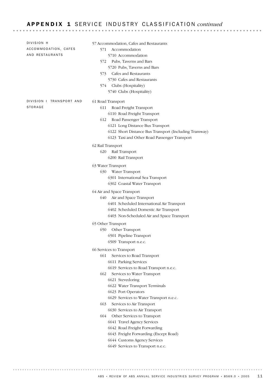### APPENDIX 1 SERVICE INDUSTRY CLASSIFICATION *continued*

| DIVISION H<br>ACCOMMODATION, CAFES<br>AND RESTAURANTS | 57 Accommodation, Cafes and Restaurants<br>571<br>Accommodation<br>5710 Accommodation<br>Pubs, Taverns and Bars<br>572<br>5720 Pubs, Taverns and Bars<br>Cafes and Restaurants<br>573.<br>5730 Cafes and Restaurants<br>574 Clubs (Hospitality)<br>5740 Clubs (Hospitality)                                                                                                                                                                                                                                                                                                          |
|-------------------------------------------------------|--------------------------------------------------------------------------------------------------------------------------------------------------------------------------------------------------------------------------------------------------------------------------------------------------------------------------------------------------------------------------------------------------------------------------------------------------------------------------------------------------------------------------------------------------------------------------------------|
| DIVISION I TRANSPORT AND<br>STORAGE                   | 61 Road Transport<br>611<br>Road Freight Transport<br>6110 Road Freight Transport<br>Road Passenger Transport<br>612<br>6121 Long Distance Bus Transport<br>6122 Short Distance Bus Transport (Including Tramway)<br>6123 Taxi and Other Road Passenger Transport                                                                                                                                                                                                                                                                                                                    |
|                                                       | 62 Rail Transport<br>620<br>Rail Transport<br>6200 Rail Transport                                                                                                                                                                                                                                                                                                                                                                                                                                                                                                                    |
|                                                       | 63 Water Transport<br>630<br>Water Transport<br>6301 International Sea Transport<br>6302 Coastal Water Transport                                                                                                                                                                                                                                                                                                                                                                                                                                                                     |
|                                                       | 64 Air and Space Transport<br>Air and Space Transport<br>640<br>6401 Scheduled International Air Transport<br>6402 Scheduled Domestic Air Transport<br>6403 Non-Scheduled Air and Space Transport                                                                                                                                                                                                                                                                                                                                                                                    |
|                                                       | 65 Other Transport<br>650<br>Other Transport<br>6501 Pipeline Transport<br>6509 Transport n.e.c.                                                                                                                                                                                                                                                                                                                                                                                                                                                                                     |
|                                                       | 66 Services to Transport<br>661<br>Services to Road Transport<br>6611 Parking Services<br>6619 Services to Road Transport n.e.c.<br>Services to Water Transport<br>662<br>6621 Stevedoring<br>6622 Water Transport Terminals<br>6623 Port Operators<br>6629 Services to Water Transport n.e.c.<br>663<br>Services to Air Transport<br>6630 Services to Air Transport<br>664 Other Services to Transport<br>6641 Travel Agency Services<br>6642 Road Freight Forwarding<br>6643 Freight Forwarding (Except Road)<br>6644 Customs Agency Services<br>6649 Services to Transport n.e.c. |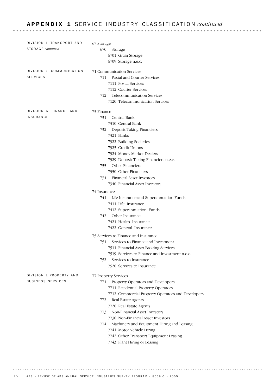### APPENDIX 1 SERVICE INDUSTRY CLASSIFICATION *continued*

| DIVISION   TRANSPORT AND<br><b>STORAGE</b> continued | 67 Storage<br>670<br>Storage<br>6701 Grain Storage<br>6709 Storage n.e.c.                                                                                                                                                                                                                                                                                                                                                                                                                                                                                                                                                                                                                                                                                                                  |
|------------------------------------------------------|--------------------------------------------------------------------------------------------------------------------------------------------------------------------------------------------------------------------------------------------------------------------------------------------------------------------------------------------------------------------------------------------------------------------------------------------------------------------------------------------------------------------------------------------------------------------------------------------------------------------------------------------------------------------------------------------------------------------------------------------------------------------------------------------|
| DIVISION J COMMUNICATION<br><b>SERVICES</b>          | 71 Communication Services<br>Postal and Courier Services<br>711<br>7111 Postal Services<br>7112 Courier Services<br><b>Telecommunication Services</b><br>712<br>7120 Telecommunication Services                                                                                                                                                                                                                                                                                                                                                                                                                                                                                                                                                                                            |
| DIVISION K FINANCE AND<br><b>INSURANCE</b>           | 73 Finance<br>Central Bank<br>731<br>7310 Central Bank<br>732<br>Deposit Taking Financiers<br>7321 Banks<br>7322 Building Societies<br>7323 Credit Unions<br>7324 Money Market Dealers<br>7329 Deposit Taking Financiers n.e.c.<br><b>Other Financiers</b><br>733<br>7330 Other Financiers<br>734 Financial Asset Investors<br>7340 Financial Asset Investors<br>74 Insurance<br>Life Insurance and Superannuation Funds<br>741<br>7411 Life Insurance<br>7412 Superannuation Funds                                                                                                                                                                                                                                                                                                        |
| DIVISION L PROPERTY AND<br><b>BUSINESS SERVICES</b>  | 742<br>Other Insurance<br>7421 Health Insurance<br>7422 General Insurance<br>75 Services to Finance and Insurance<br>751<br>Services to Finance and Investment<br>7511 Financial Asset Broking Services<br>7519 Services to Finance and Investment n.e.c.<br>752<br>Services to Insurance<br>7520 Services to Insurance<br>77 Property Services<br>Property Operators and Developers<br>771<br>7711 Residential Property Operators<br>7712 Commercial Property Operators and Developers<br>Real Estate Agents<br>772<br>7720 Real Estate Agents<br>Non-Financial Asset Investors<br>773<br>7730 Non-Financial Asset Investors<br>Machinery and Equipment Hiring and Leasing<br>774.<br>7741 Motor Vehicle Hiring<br>7742 Other Transport Equipment Leasing<br>7743 Plant Hiring or Leasing |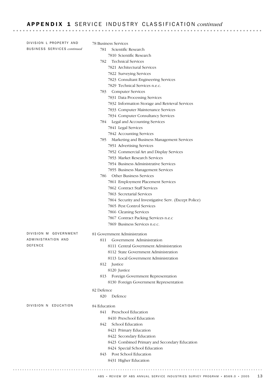# A P P E N D I X 1 SERVICE INDUSTRY CLASSIFICATION *continued*

| DIVISION L PROPERTY AND            | 78 Business Services                                                                |
|------------------------------------|-------------------------------------------------------------------------------------|
| <b>BUSINESS SERVICES continued</b> | Scientific Research<br>781                                                          |
|                                    | 7810 Scientific Research                                                            |
|                                    | <b>Technical Services</b><br>782                                                    |
|                                    | 7821 Architectural Services                                                         |
|                                    | 7822 Surveying Services                                                             |
|                                    | 7823 Consultant Engineering Services                                                |
|                                    | 7829 Technical Services n.e.c.                                                      |
|                                    | <b>Computer Services</b><br>783                                                     |
|                                    | 7831 Data Processing Services                                                       |
|                                    | 7832 Information Storage and Retrieval Services                                     |
|                                    | 7833 Computer Maintenance Services                                                  |
|                                    | 7834 Computer Consultancy Services                                                  |
|                                    | 784 Legal and Accounting Services                                                   |
|                                    | 7841 Legal Services                                                                 |
|                                    | 7842 Accounting Services                                                            |
|                                    | Marketing and Business Management Services<br>785                                   |
|                                    | 7851 Advertising Services                                                           |
|                                    | 7852 Commercial Art and Display Services                                            |
|                                    | 7853 Market Research Services                                                       |
|                                    | 7854 Business Administrative Services                                               |
|                                    | 7855 Business Management Services                                                   |
|                                    | <b>Other Business Services</b><br>786                                               |
|                                    | 7861 Employment Placement Services<br>7862 Contract Staff Services                  |
|                                    | 7863 Secretarial Services                                                           |
|                                    |                                                                                     |
|                                    | 7864 Security and Investigative Serv. (Except Police)<br>7865 Pest Control Services |
|                                    | 7866 Cleaning Services                                                              |
|                                    | 7867 Contract Packing Services n.e.c                                                |
|                                    | 7869 Business Services n.e.c.                                                       |
| DIVISION M GOVERNMENT              | 81 Government Administration                                                        |
| ADMINISTRATION AND                 | 811 Government Administration                                                       |
| DEFENCE                            | 8111 Central Government Administration                                              |
|                                    | 8112 State Government Administration                                                |
|                                    | 8113 Local Government Administration                                                |
|                                    | 812 Justice                                                                         |
|                                    | 8120 Justice                                                                        |
|                                    | Foreign Government Representation<br>813<br>8130 Foreign Government Representation  |
|                                    | 82 Defence                                                                          |
|                                    | Defence<br>820                                                                      |
| DIVISION N EDUCATION               | 84 Education                                                                        |
|                                    | Preschool Education<br>841                                                          |
|                                    | 8410 Preschool Education                                                            |
|                                    | School Education<br>842                                                             |
|                                    | 8421 Primary Education                                                              |
|                                    | 8422 Secondary Education                                                            |
|                                    | 8423 Combined Primary and Secondary Education                                       |
|                                    | 8424 Special School Education                                                       |
|                                    | Post School Education<br>843.                                                       |
|                                    | 8431 Higher Education                                                               |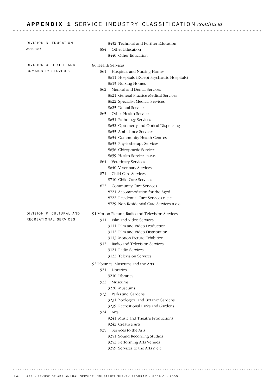#### APPENDIX 1 SERVICE INDUSTRY CLASSIFICATION *continued*

| DIVISION N EDUCATION    | 8432 Technical and Further Education                                               |
|-------------------------|------------------------------------------------------------------------------------|
| continued               | Other Education<br>884                                                             |
|                         | 8440 Other Education                                                               |
| DIVISION O HEALTH AND   | 86 Health Services                                                                 |
| COMMUNITY SERVICES      | 861<br>Hospitals and Nursing Homes                                                 |
|                         | 8611 Hospitals (Except Psychiatric Hospitals)                                      |
|                         | 8613 Nursing Homes                                                                 |
|                         | Medical and Dental Services<br>862                                                 |
|                         | 8621 General Practice Medical Services                                             |
|                         | 8622 Specialist Medical Services                                                   |
|                         | 8623 Dental Services                                                               |
|                         | Other Health Services<br>863                                                       |
|                         | 8631 Pathology Services                                                            |
|                         | 8632 Optometry and Optical Dispensing                                              |
|                         | 8633 Ambulance Services                                                            |
|                         | 8634 Community Health Centres                                                      |
|                         | 8635 Physiotherapy Services                                                        |
|                         | 8636 Chiropractic Services                                                         |
|                         | 8639 Health Services n.e.c.                                                        |
|                         | Veterinary Services<br>864                                                         |
|                         | 8640 Veterinary Services                                                           |
|                         | Child Care Services<br>871                                                         |
|                         | 8710 Child Care Services                                                           |
|                         | <b>Community Care Services</b><br>872                                              |
|                         | 8721 Accommodation for the Aged                                                    |
|                         | 8722 Residential Care Services n.e.c.<br>8729 Non-Residential Care Services n.e.c. |
|                         |                                                                                    |
| DIVISION P CULTURAL AND | 91 Motion Picture, Radio and Television Services                                   |
| RECREATIONAL SERVICES   | Film and Video Services<br>911                                                     |
|                         | 9111 Film and Video Production                                                     |
|                         | 9112 Film and Video Distribution                                                   |
|                         | 9113 Motion Picture Exhibition                                                     |
|                         | 912<br>Radio and Television Services                                               |
|                         | 9121 Radio Services                                                                |
|                         | 9122 Television Services                                                           |
|                         | 92 Libraries, Museums and the Arts                                                 |
|                         | 921<br>Libraries                                                                   |
|                         | 9210 Libraries                                                                     |
|                         | 922<br>Museums                                                                     |
|                         | 9220 Museums                                                                       |
|                         | Parks and Gardens<br>923                                                           |
|                         | 9231 Zoological and Botanic Gardens                                                |
|                         | 9239 Recreational Parks and Gardens                                                |
|                         | 924<br>Arts                                                                        |
|                         | 9241 Music and Theatre Productions<br>9242 Creative Arts                           |
|                         | 925<br>Services to the Arts                                                        |
|                         |                                                                                    |
|                         |                                                                                    |
|                         | 9251 Sound Recording Studios                                                       |
|                         | 9252 Performing Arts Venues<br>9259 Services to the Arts n.e.c.                    |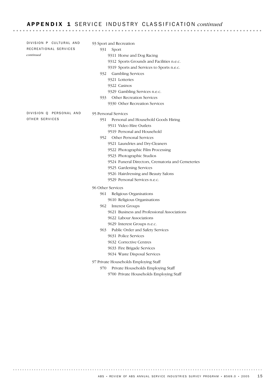#### A P P E N D I X 1 S E R V I C E I N D U S T R Y CL A S S I F I C A T I O N *continued*

95 Personal Services 951 Personal and Household Goods Hiring 9511 Video Hire Outlets 9519 Personal and Household 952 Other Personal Services 9521 Laundries and Dry-Cleaners 9522 Photographic Film Processing 9523 Photographic Studios 9524 Funeral Directors, Crematoria and Cemeteries 9525 Gardening Services 9526 Hairdressing and Beauty Salons 9529 Personal Services n.e.c. 96 Other Services 961 Religious Organisations 9610 Religious Organisations 962 Interest Groups 9621 Business and Professional Associations 9622 Labour Associations 9629 Interest Groups n.e.c. 963 Public Order and Safety Services 9631 Police Services 9632 Corrective Centres 9633 Fire Brigade Services 9634 Waste Disposal Services 97 Private Households Employing Staff 970 Private Households Employing Staff DIVISION Q PERSONAL AND OTHER SERVICES 93 Sport and Recreation 931 Sport 9311 Horse and Dog Racing 9312 Sports Grounds and Facilities n.e.c. 9319 Sports and Services to Sports n.e.c. 932 Gambling Services 9321 Lotteries 9322 Casinos 9329 Gambling Services n.e.c. 933 Other Recreation Services 9330 Other Recreation Services DIVISION P CULTURAL AND RECREATIONAL SERVICES *continued*

9700 Private Households Employing Staff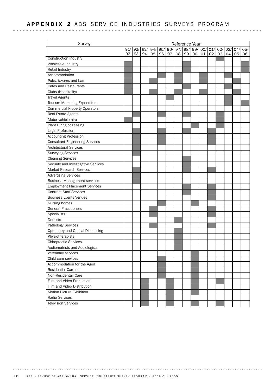### APPENDIX 2 ABS SERVICE INDUSTRIES SURVEYS PROGRAM

| Survey                                 |     |     |     |     |     |    |           |    | Reference Year |        |     |     |     |     |     |
|----------------------------------------|-----|-----|-----|-----|-----|----|-----------|----|----------------|--------|-----|-----|-----|-----|-----|
|                                        | 91/ | 92/ | 93/ | 94/ | 95/ |    | 96/97/98/ |    |                | 99/00/ | 01/ | 02/ | 03/ | 04/ | 05/ |
|                                        | 92  | 93  | 94  | 95  | 96  | 97 | 98        | 99 | $00\,$         | 01     | 02  | 03  | 04  | 05  | 06  |
| Construction Industry                  |     |     |     |     |     |    |           |    |                |        |     |     |     |     |     |
| Wholesale Industry                     |     |     |     |     |     |    |           |    |                |        |     |     |     |     |     |
| Retail Industry                        |     |     |     |     |     |    |           |    |                |        |     |     |     |     |     |
| Accommodation                          |     |     |     |     |     |    |           |    |                |        |     |     |     |     |     |
| Pubs, taverns and bars                 |     |     |     |     |     |    |           |    |                |        |     |     |     |     |     |
| Cafes and Restaurants                  |     |     |     |     |     |    |           |    |                |        |     |     |     |     |     |
| Clubs (Hospitality)                    |     |     |     |     |     |    |           |    |                |        |     |     |     |     |     |
| <b>Travel Agents</b>                   |     |     |     |     |     |    |           |    |                |        |     |     |     |     |     |
| Tourism Marketing Expenditure          |     |     |     |     |     |    |           |    |                |        |     |     |     |     |     |
| <b>Commercial Property Operators</b>   |     |     |     |     |     |    |           |    |                |        |     |     |     |     |     |
| Real Estate Agents                     |     |     |     |     |     |    |           |    |                |        |     |     |     |     |     |
| Motor vehicle hire                     |     |     |     |     |     |    |           |    |                |        |     |     |     |     |     |
| Plant Hiring or Leasing                |     |     |     |     |     |    |           |    |                |        |     |     |     |     |     |
| Legal Profession                       |     |     |     |     |     |    |           |    |                |        |     |     |     |     |     |
| Accounting Profession                  |     |     |     |     |     |    |           |    |                |        |     |     |     |     |     |
| <b>Consultant Engineering Services</b> |     |     |     |     |     |    |           |    |                |        |     |     |     |     |     |
| <b>Architectural Services</b>          |     |     |     |     |     |    |           |    |                |        |     |     |     |     |     |
| <b>Surveying Services</b>              |     |     |     |     |     |    |           |    |                |        |     |     |     |     |     |
| <b>Cleaning Services</b>               |     |     |     |     |     |    |           |    |                |        |     |     |     |     |     |
| Security and Investigative Services    |     |     |     |     |     |    |           |    |                |        |     |     |     |     |     |
| Market Research Services               |     |     |     |     |     |    |           |    |                |        |     |     |     |     |     |
| <b>Advertising Services</b>            |     |     |     |     |     |    |           |    |                |        |     |     |     |     |     |
| <b>Business Management services</b>    |     |     |     |     |     |    |           |    |                |        |     |     |     |     |     |
| <b>Employment Placement Services</b>   |     |     |     |     |     |    |           |    |                |        |     |     |     |     |     |
| <b>Contract Staff Services</b>         |     |     |     |     |     |    |           |    |                |        |     |     |     |     |     |
| <b>Business Events Venues</b>          |     |     |     |     |     |    |           |    |                |        |     |     |     |     |     |
| Nursing homes                          |     |     |     |     |     |    |           |    |                |        |     |     |     |     |     |
| <b>General Practitioners</b>           |     |     |     |     |     |    |           |    |                |        |     |     |     |     |     |
| Specialists                            |     |     |     |     |     |    |           |    |                |        |     |     |     |     |     |
| Dentists                               |     |     |     |     |     |    |           |    |                |        |     |     |     |     |     |
| Pathology Services                     |     |     |     |     |     |    |           |    |                |        |     |     |     |     |     |
| Optometry and Optical Dispensing       |     |     |     |     |     |    |           |    |                |        |     |     |     |     |     |
| Physiotherapists                       |     |     |     |     |     |    |           |    |                |        |     |     |     |     |     |
| <b>Chiropractic Services</b>           |     |     |     |     |     |    |           |    |                |        |     |     |     |     |     |
| Audiometrists and Audiologists         |     |     |     |     |     |    |           |    |                |        |     |     |     |     |     |
| Veterinary services                    |     |     |     |     |     |    |           |    |                |        |     |     |     |     |     |
| Child care services                    |     |     |     |     |     |    |           |    |                |        |     |     |     |     |     |
| Accommodation for the Aged             |     |     |     |     |     |    |           |    |                |        |     |     |     |     |     |
| Residential Care nec                   |     |     |     |     |     |    |           |    |                |        |     |     |     |     |     |
| Non-Residentail Care                   |     |     |     |     |     |    |           |    |                |        |     |     |     |     |     |
| Film and Video Production              |     |     |     |     |     |    |           |    |                |        |     |     |     |     |     |
| Film and Video Distribution            |     |     |     |     |     |    |           |    |                |        |     |     |     |     |     |
| Motion Picture Exhibition              |     |     |     |     |     |    |           |    |                |        |     |     |     |     |     |
| Radio Services                         |     |     |     |     |     |    |           |    |                |        |     |     |     |     |     |
| <b>Television Services</b>             |     |     |     |     |     |    |           |    |                |        |     |     |     |     |     |

16 ABS • REVIEW OF ABS ANNUAL SERVICE INDUSTRIES SURVEY PROGRAM • 8569.0 • 2005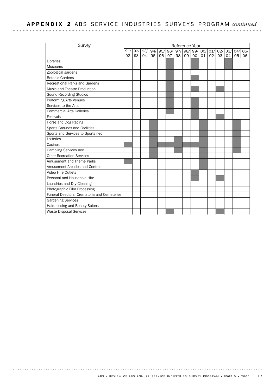## APPENDIX 2 ABS SERVICE INDUSTRIES SURVEYS PROGRAM *continued*

| Survey                                       | Reference Year |     |     |     |    |    |             |    |         |     |     |     |     |     |     |
|----------------------------------------------|----------------|-----|-----|-----|----|----|-------------|----|---------|-----|-----|-----|-----|-----|-----|
|                                              | 91/            | 92/ | 93/ | 94/ |    |    | 95/ 96/ 97/ |    | 98/ 99/ | 00/ | 01/ | 02/ | 03/ | 04/ | 05/ |
|                                              | 92             | 93  | 94  | 95  | 96 | 97 | 98          | 99 | $00\,$  | 01  | 02  | 03  | 04  | 05  | 06  |
| Libraries                                    |                |     |     |     |    |    |             |    |         |     |     |     |     |     |     |
| <b>Museums</b>                               |                |     |     |     |    |    |             |    |         |     |     |     |     |     |     |
| Zoological gardens                           |                |     |     |     |    |    |             |    |         |     |     |     |     |     |     |
| <b>Botanic Gardens</b>                       |                |     |     |     |    |    |             |    |         |     |     |     |     |     |     |
| <b>Recreational Parks and Gardens</b>        |                |     |     |     |    |    |             |    |         |     |     |     |     |     |     |
| Music and Theatre Production                 |                |     |     |     |    |    |             |    |         |     |     |     |     |     |     |
| Sound Recording Studios                      |                |     |     |     |    |    |             |    |         |     |     |     |     |     |     |
| Performing Arts Venues                       |                |     |     |     |    |    |             |    |         |     |     |     |     |     |     |
| Services to the Arts                         |                |     |     |     |    |    |             |    |         |     |     |     |     |     |     |
| <b>Commercial Arts Galleries</b>             |                |     |     |     |    |    |             |    |         |     |     |     |     |     |     |
| Festivals                                    |                |     |     |     |    |    |             |    |         |     |     |     |     |     |     |
| Horse and Dog Racing                         |                |     |     |     |    |    |             |    |         |     |     |     |     |     |     |
| Sports Grounds and Facilities                |                |     |     |     |    |    |             |    |         |     |     |     |     |     |     |
| Sports and Services to Sports nec            |                |     |     |     |    |    |             |    |         |     |     |     |     |     |     |
| Lotteries                                    |                |     |     |     |    |    |             |    |         |     |     |     |     |     |     |
| Casinos                                      |                |     |     |     |    |    |             |    |         |     |     |     |     |     |     |
| Gambling Services nec                        |                |     |     |     |    |    |             |    |         |     |     |     |     |     |     |
| <b>Other Recreation Services</b>             |                |     |     |     |    |    |             |    |         |     |     |     |     |     |     |
| Amusement and Theme Parks                    |                |     |     |     |    |    |             |    |         |     |     |     |     |     |     |
| Amusement Arcades and Centres                |                |     |     |     |    |    |             |    |         |     |     |     |     |     |     |
| Video Hire Outlets                           |                |     |     |     |    |    |             |    |         |     |     |     |     |     |     |
| Personal and Household Hire                  |                |     |     |     |    |    |             |    |         |     |     |     |     |     |     |
| Laundries and Dry-Cleaning                   |                |     |     |     |    |    |             |    |         |     |     |     |     |     |     |
| Photographic Film Processing                 |                |     |     |     |    |    |             |    |         |     |     |     |     |     |     |
| Funeral Directors, Crematoria and Cemeteries |                |     |     |     |    |    |             |    |         |     |     |     |     |     |     |
| <b>Gardening Services</b>                    |                |     |     |     |    |    |             |    |         |     |     |     |     |     |     |
| Hairdressing and Beauty Salons               |                |     |     |     |    |    |             |    |         |     |     |     |     |     |     |
| <b>Waste Disposal Services</b>               |                |     |     |     |    |    |             |    |         |     |     |     |     |     |     |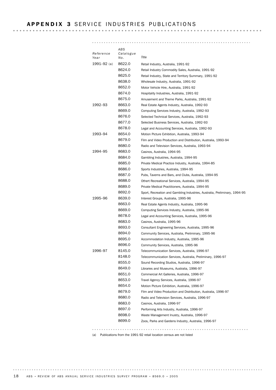#### APPENDIX 3 SERVICE INDUSTRIES PUBLICATIONS

| Reference   | ABS<br>Catalogue |                                                                            |
|-------------|------------------|----------------------------------------------------------------------------|
| Year        | No.              | Title                                                                      |
| 1991–92 (a) | 8622.0           | Retail Industry, Australia, 1991-92                                        |
|             | 8624.0           | Retail Industry Commodity Sales, Australia, 1991-92                        |
|             | 8625.0           | Retail Industry, State and Territory Summary, 1991-92                      |
|             | 8638.0           | Wholesale Industry, Australia, 1991-92                                     |
|             | 8652.0           | Motor Vehicle Hire, Australia, 1991-92                                     |
|             | 8674.0           | Hospitality Industries, Australia, 1991-92                                 |
|             | 8675.0           | Amusement and Theme Parks, Australia, 1991-92                              |
| 1992–93     | 8663.0           | Real Estate Agents Industry, Australia, 1992-93                            |
|             | 8669.0           | Computing Services Industry, Australia, 1992-93                            |
|             | 8676.0           | Selected Technical Services, Australia, 1992-93                            |
|             | 8677.0           | Selected Business Services, Australia, 1992-93                             |
|             | 8678.0           | Legal and Accounting Services, Australia, 1992-93                          |
| 1993–94     | 8654.0           | Motion Picture Exhibition, Australia, 1993-94                              |
|             | 8679.0           | Film and Video Production and Distribution, Australia, 1993-94             |
|             | 8680.0           | Radio and Television Services, Australia, 1993-94                          |
| 1994–95     | 8683.0           | Casinos, Australia, 1994-95                                                |
|             | 8684.0           | Gambling Industries, Australia, 1994-95                                    |
|             | 8685.0           | Private Medical Practice Industry, Australia, 1994-85                      |
|             | 8686.0           | Sports Industries, Australia, 1994-95                                      |
|             | 8687.0           | Pubs, Taverns and Bars, and Clubs, Australia, 1994-95                      |
|             | 8688.0           | Othert Recreational Services, Australia, 1994-95                           |
|             | 8689.0           | Private Medical Practitioners, Australia, 1994-95                          |
|             | 8692.0           | Sport, Recreation and Gambling Industries, Australia, Preliminary, 1994-95 |
| 1995–96     | 8639.0           | Interest Groups, Australia, 1995-96                                        |
|             | 8663.0           | Real Estate Agents Industry, Australia, 1995-96                            |
|             | 8669.0           | Computing Services Industry, Australia, 1995-96                            |
|             | 8678.0           | Legal and Accounting Services, Australia, 1995-96                          |
|             | 8683.0           | Casinos, Australia, 1995-96                                                |
|             | 8693.0           | Consultant Engineering Services, Australia, 1995-96                        |
|             | 8694.0           | Community Services, Australia, Preliminary, 1995-96                        |
|             | 8695.0           | Accommodation Industry, Australia, 1995-96                                 |
|             | 8696.0           | Community Services, Australia, 1995-96                                     |
| 1996-97     | 8145.0           | Telecommunication Services, Australia, 1996-97                             |
|             | 8148.0           | Telecommunication Services, Australia, Preliminary, 1996-97                |
|             | 8555.0           | Sound Recording Studios, Australia, 1996-97                                |
|             | 8649.0           | Libraries and Museums, Australia, 1996-97                                  |
|             | 8651.0           | Commercial Art Galleries, Australia, 1996-97                               |
|             | 8653.0           | Travel Agency Services, Australia, 1996-97                                 |
|             | 8654.0           | Motion Picture Exhibition. Australia. 1996-97                              |
|             | 8679.0           | Film and Video Production and Distribution, Australia, 1996-97             |
|             | 8680.0           | Radio and Television Services, Australia, 1996-97                          |
|             | 8683.0           | Casinos, Australia, 1996-97                                                |
|             | 8697.0           | Performing Arts Industry, Australia, 1996-97                               |
|             | 8698.0           | Waste Management Inustry, Australia, 1996-97                               |
|             | 8699.0           | Zoos, Parks and Gardens Industry, Australia, 1996-97                       |
|             |                  |                                                                            |

(a) Publications from the 1991-92 retail location census are not listed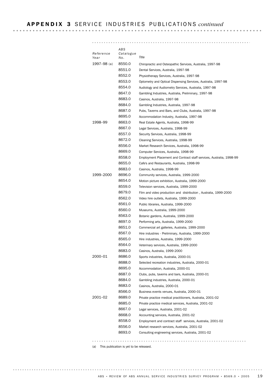#### APPENDIX 3 SERVICE INDUSTRIES PUBLICATIONS *continued*

| ABS<br>Catalogue<br>Reference<br>Title<br>Year<br>No.                              |  |
|------------------------------------------------------------------------------------|--|
| 8550.0<br>1997–98 (a)<br>Chiropractic and Osteopathic Services, Australia, 1997-98 |  |
| 8551.0<br>Dental Services, Australia, 1997-98                                      |  |
| 8552.0<br>Physiotherapy Services, Australia, 1997-98                               |  |
| 8553.0<br>Optometry and Optical Dispensing Services, Australia, 1997-98            |  |
| 8554.0<br>Audiology and Audiometry Services, Australia, 1997-98                    |  |
| 8647.0<br>Gambling Industries, Australia, Preliminary, 1997-98                     |  |
| 8683.0<br>Casinos, Australia, 1997-98                                              |  |
| 8684.0<br>Gambling Industries, Australia, 1997-98                                  |  |
| 8687.0<br>Pubs, Taverns and Bars, and Clubs, Australia, 1997-98                    |  |
| 8695.0<br>Accommodation Industry, Australia, 1997-98                               |  |
| 1998–99<br>8663.0<br>Real Estate Agents, Australia, 1998-99                        |  |
| 8667.0<br>Legal Services, Australia, 1998-99                                       |  |
| 8557.0<br>Security Services, Australia, 1998-99                                    |  |
| 8672.0<br>Cleaning Services, Australia, 1998-99                                    |  |
| 8556.0<br>Market Research Services, Australia, 1998-99                             |  |
| 8669.0<br>Computer Services, Australia, 1998-99                                    |  |
| 8558.0<br>Employment Placement and Contract staff services, Australia, 1998-99     |  |
| 8655.0<br>Cafe's and Restaurants, Australia, 1998-99                               |  |
| 8683.0<br>Casinos, Australia, 1998-99                                              |  |
| 1999–2000<br>8696.0<br>Community services, Australia, 1999-2000                    |  |
| 8654.0<br>Motion picture exhibition, Australia, 1999-2000                          |  |
| 8559.0<br>Television services, Australia, 1999-2000                                |  |
| 8679.0<br>Film and video production and distribution, Australia, 1999-2000         |  |
| 8562.0<br>Video hire outlets, Australia, 1999-2000                                 |  |
| 8561.0<br>Public libraries, Australia, 1999-2000                                   |  |
| 8560.0<br>Museums, Australia, 1999-2000                                            |  |
| 8563.0<br>Botanic gardens, Australia, 1999-2000                                    |  |
| 8697.0<br>Performing arts, Australia, 1999-2000                                    |  |
| 8651.0<br>Commercial art galleries, Australia, 1999-2000                           |  |
| 8567.0<br>Hire industries - Preliminary, Australia, 1999-2000                      |  |
| 8565.0<br>Hire industries, Australia, 1999-2000                                    |  |
| 8564.0<br>Veterinary services, Australia, 1999-2000                                |  |
| 8683.0<br>Casinos, Australia, 1999-2000                                            |  |
| 2000–01<br>8686.0<br>Sports industries, Australia, 2000-01                         |  |
| 8688.0<br>Selected recreation industries, Australia, 2000-01                       |  |
| 8695.0<br>Accommodation, Australia, 2000-01                                        |  |
| 8687.0<br>Clubs, pubs, taverns and bars, Australia, 2000-01                        |  |
| 8684.0<br>Gambling industries, Australia, 2000-01                                  |  |
| 8683.0<br>Casinos, Australia, 2000-01                                              |  |
| 8566.0<br>Business events venues, Australia, 2000-01                               |  |
| 2001–02<br>8689.0<br>Private practice medical practitioners, Australia, 2001-02    |  |
| 8685.0<br>Private practice medical services, Australia, 2001-02                    |  |
| 8667.0<br>Legal services, Australia, 2001-02                                       |  |
| 8668.0<br>Accounting services, Australia, 2001-02                                  |  |
| 8558.0<br>Employment and contract staff services, Australia, 2001-02               |  |
| 8556.0<br>Market research services, Australia, 2001-02                             |  |
| 8693.0<br>Consulting engineering services, Australia, 2001-02                      |  |

(a) This publication is yet to be released.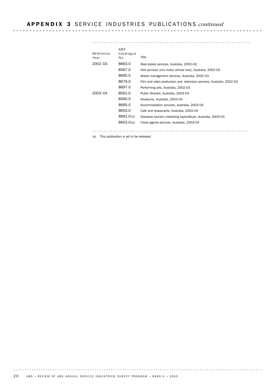#### APPENDIX 3 SERVICE INDUSTRIES PUBLICATIONS *continued*

## *ABS Catalogue Reference*

| No.       | Title                                                                 |
|-----------|-----------------------------------------------------------------------|
| 8663.0    | Real estate services, Australia, 2002-03                              |
| 8567.0    | Hire services (incl motor vehicle hire), Australia, 2002-03           |
| 8695.0    | Waste management services, Australia, 2002-03                         |
| 8679.0    | Film and video production and television services, Australia, 2002-03 |
| 8697.0    | Performing arts, Australia, 2002-03                                   |
| 8561.0    | Public libraries. Australia. 2003-04                                  |
| 8560.0    | Museums, Australia, 2003-04                                           |
| 8695.0    | Accommodation services, Australia, 2003-04                            |
| 8655.0    | Cafe and restaurants, Australia, 2003-04                              |
| 8691.0(a) | Overseas tourism marketing expenditure, Australia, 2003-04            |
| 8653.0(a) | Travel agents services, Australia, 2003-04                            |
|           |                                                                       |

(a) This publication is yet to be released.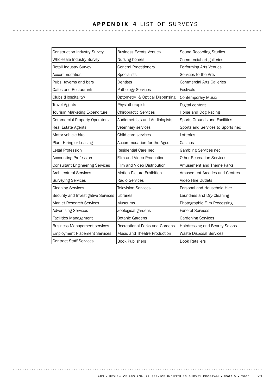| Construction Industry Survey           | <b>Business Events Venues</b>  | Sound Recording Studios           |
|----------------------------------------|--------------------------------|-----------------------------------|
| Wholesale Industry Survey              | Nursing homes                  | Commercial art galleries          |
| Retail Industry Survey                 | <b>General Practitioners</b>   | Performing Arts Venues            |
| Accommodation                          | <b>Specialists</b>             | Services to the Arts              |
| Pubs, taverns and bars                 | Dentists                       | <b>Commercial Arts Galleries</b>  |
| Cafes and Restaurants                  | Pathology Services             | Festivals                         |
| Clubs (Hospitality)                    | Optometry & Optical Dispensing | <b>Contemporary Music</b>         |
| <b>Travel Agents</b>                   | Physiotherapists               | Digital content                   |
| Tourism Marketing Expenditure          | <b>Chiropractic Services</b>   | Horse and Dog Racing              |
| <b>Commercial Property Operators</b>   | Audiometrists and Audiologists | Sports Grounds and Facilities     |
| Real Estate Agents                     | Veterinary services            | Sports and Services to Sports nec |
| Motor vehicle hire                     | Child care services            | Lotteries                         |
| Plant Hiring or Leasing                | Accommodation for the Aged     | Casinos                           |
| Legal Profession                       | Residential Care nec           | Gambling Services nec             |
| <b>Accounting Profession</b>           | Film and Video Production      | <b>Other Recreation Services</b>  |
| <b>Consultant Engineering Services</b> | Film and Video Distribution    | Amusement and Theme Parks         |
| <b>Architectural Services</b>          | Motion Picture Exhibition      | Amusement Arcades and Centres     |
| <b>Surveying Services</b>              | <b>Radio Services</b>          | Video Hire Outlets                |
| <b>Cleaning Services</b>               | <b>Television Services</b>     | Personal and Household Hire       |
| Security and Investigative Services    | Libraries                      | Laundries and Dry-Cleaning        |
| Market Research Services               | Museums                        | Photographic Film Processing      |
| <b>Advertising Services</b>            | Zoological gardens             | <b>Funeral Services</b>           |
| <b>Facilities Management</b>           | <b>Botanic Gardens</b>         | <b>Gardening Services</b>         |
| <b>Business Management services</b>    | Recreational Parks and Gardens | Hairdressing and Beauty Salons    |
| <b>Employment Placement Services</b>   | Music and Theatre Production   | <b>Waste Disposal Services</b>    |
| <b>Contract Staff Services</b>         | <b>Book Publishers</b>         | <b>Book Retailers</b>             |